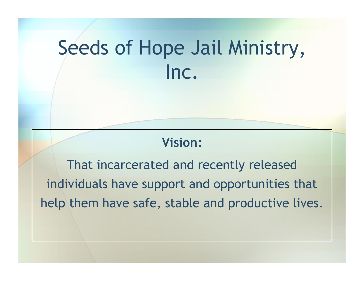## Seeds of Hope Jail Ministry, Inc.

#### **Vision:**

That incarcerated and recently released individuals have support and opportunities that help them have safe, stable and productive lives.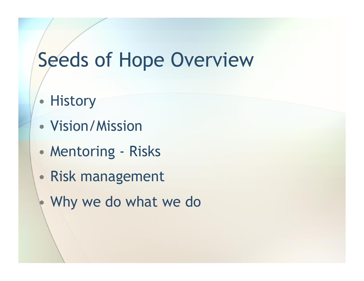## Seeds of Hope Overview

- History
- Vision/Mission
- Mentoring Risks
- Risk management
	- Why we do what we do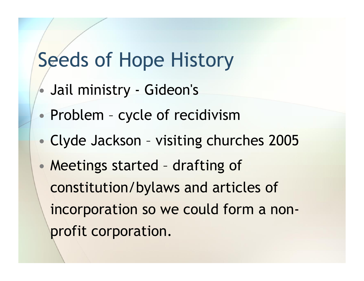#### Seeds of Hope History

- Jail ministry Gideon's
- Problem cycle of recidivism
- Clyde Jackson visiting churches 2005
- Meetings started drafting of constitution/bylaws and articles of incorporation so we could form a nonprofit corporation.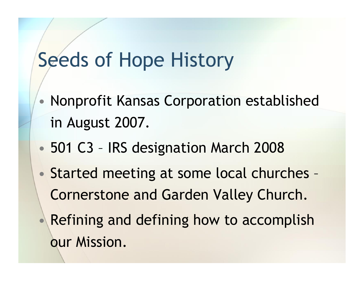#### Seeds of Hope History

- Nonprofit Kansas Corporation established in August 2007.
- 501 C3 IRS designation March 2008
- Started meeting at some local churches Cornerstone and Garden Valley Church.
	- Refining and defining how to accomplish our Mission.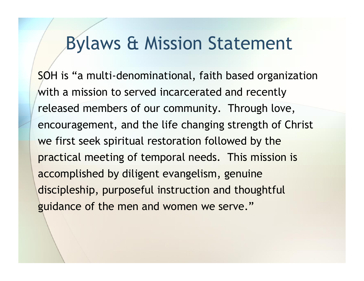#### Bylaws & Mission Statement

SOH is "a multi-denominational, faith based organization with a mission to served incarcerated and recently released members of our community. Through love, encouragement, and the life changing strength of Christ we first seek spiritual restoration followed by the practical meeting of temporal needs. This mission is accomplished by diligent evangelism, genuine discipleship, purposeful instruction and thoughtful guidance of the men and women we serve."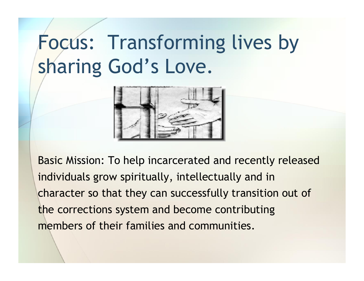# Focus: Transforming lives by sharing God's Love.



Basic Mission: To help incarcerated and recently released individuals grow spiritually, intellectually and in character so that they can successfully transition out of the corrections system and become contributing members of their families and communities.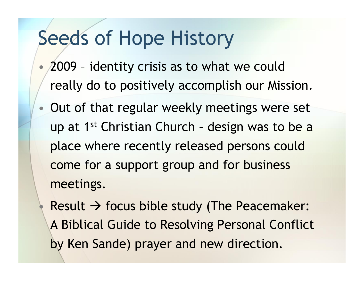#### Seeds of Hope History

- 2009 identity crisis as to what we could really do to positively accomplish our Mission.
- Out of that regular weekly meetings were set up at 1<sup>st</sup> Christian Church - design was to be a place where recently released persons could come for a support group and for business meetings.

Result  $\rightarrow$  focus bible study (The Peacemaker: A Biblical Guide to Resolving Personal Conflict by Ken Sande) prayer and new direction.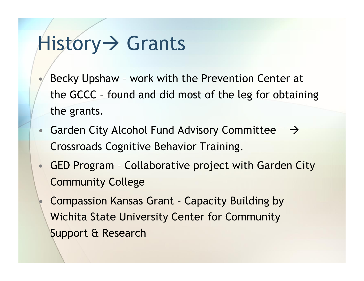## History > Grants

- Becky Upshaw work with the Prevention Center at the GCCC – found and did most of the leg for obtaining the grants.
- Garden City Alcohol Fund Advisory Committee  $\rightarrow$ Crossroads Cognitive Behavior Training.
- GED Program Collaborative project with Garden City Community College
	- Compassion Kansas Grant Capacity Building by Wichita State University Center for Community Support & Research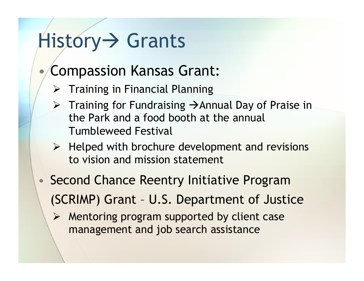## History > Grants

#### • Compassion Kansas Grant:

- $\triangleright$  Training in Financial Planning
- $\triangleright$  Training for Fundraising  $\rightarrow$  Annual Day of Praise in the Park and a food booth at the annual Tumbleweed Festival
- $\triangleright$  Helped with brochure development and revisions to vision and mission statement
- Second Chance Reentry Initiative Program (SCRIMP) Grant – U.S. Department of Justice
	- $\triangleright$  Mentoring program supported by client case management and job search assistance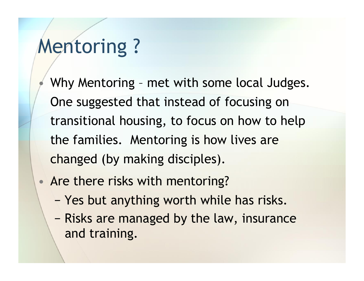### Mentoring ?

• Why Mentoring – met with some local Judges. One suggested that instead of focusing on transitional housing, to focus on how to help the families. Mentoring is how lives are changed (by making disciples).

- Are there risks with mentoring?
	- − Yes but anything worth while has risks.
	- − Risks are managed by the law, insurance and training.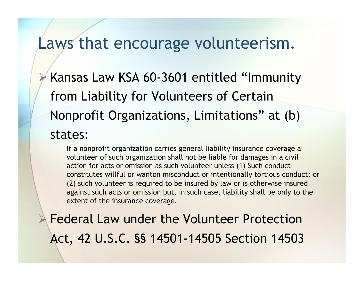#### Laws that encourage volunteerism.

 Kansas Law KSA 60-3601 entitled "Immunity from Liability for Volunteers of Certain Nonprofit Organizations, Limitations" at (b) states:

If a nonprofit organization carries general liability insurance coverage a volunteer of such organization shall not be liable for damages in a civil action for acts or omission as such volunteer unless (1) Such conduct constitutes willful or wanton misconduct or intentionally tortious conduct; or (2) such volunteer is required to be insured by law or is otherwise insured against such acts or omission but, in such case, liability shall be only to the extent of the insurance coverage.

 Federal Law under the Volunteer Protection Act, 42 U.S.C. §§ 14501-14505 Section 14503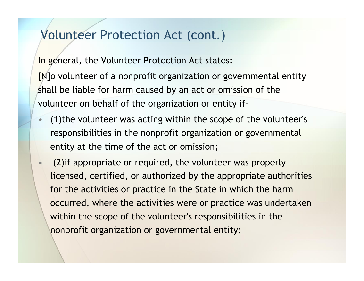#### Volunteer Protection Act (cont.)

In general, the Volunteer Protection Act states: [N]o volunteer of a nonprofit organization or governmental entity shall be liable for harm caused by an act or omission of the volunteer on behalf of the organization or entity if-

- (1)the volunteer was acting within the scope of the volunteer's responsibilities in the nonprofit organization or governmental entity at the time of the act or omission;
- (2)if appropriate or required, the volunteer was properly licensed, certified, or authorized by the appropriate authorities for the activities or practice in the State in which the harm occurred, where the activities were or practice was undertaken within the scope of the volunteer's responsibilities in the nonprofit organization or governmental entity;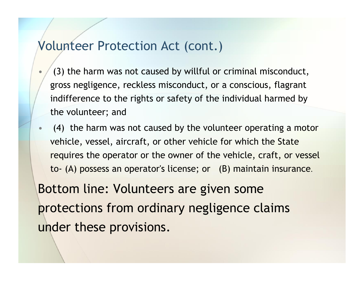#### Volunteer Protection Act (cont.)

- (3) the harm was not caused by willful or criminal misconduct, gross negligence, reckless misconduct, or a conscious, flagrant indifference to the rights or safety of the individual harmed by the volunteer; and
- (4) the harm was not caused by the volunteer operating a motor vehicle, vessel, aircraft, or other vehicle for which the State requires the operator or the owner of the vehicle, craft, or vessel to- (A) possess an operator's license; or (B) maintain insurance.

Bottom line: Volunteers are given some protections from ordinary negligence claims under these provisions.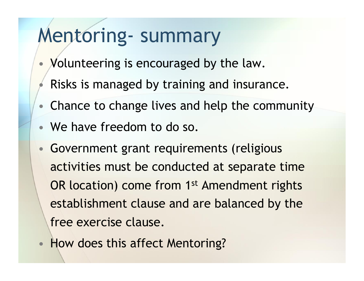### Mentoring- summary

- Volunteering is encouraged by the law.
- Risks is managed by training and insurance.
- Chance to change lives and help the community
- We have freedom to do so.
- Government grant requirements (religious activities must be conducted at separate time OR location) come from 1<sup>st</sup> Amendment rights establishment clause and are balanced by the free exercise clause.
- How does this affect Mentoring?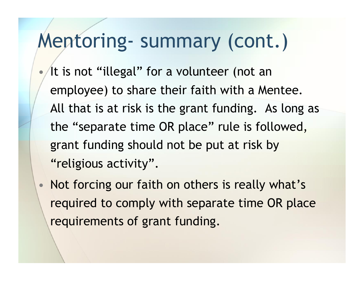#### Mentoring- summary (cont.)

At is not "illegal" for a volunteer (not an employee) to share their faith with a Mentee. All that is at risk is the grant funding. As long as the "separate time OR place" rule is followed, grant funding should not be put at risk by "religious activity".

• Not forcing our faith on others is really what's required to comply with separate time OR place requirements of grant funding.